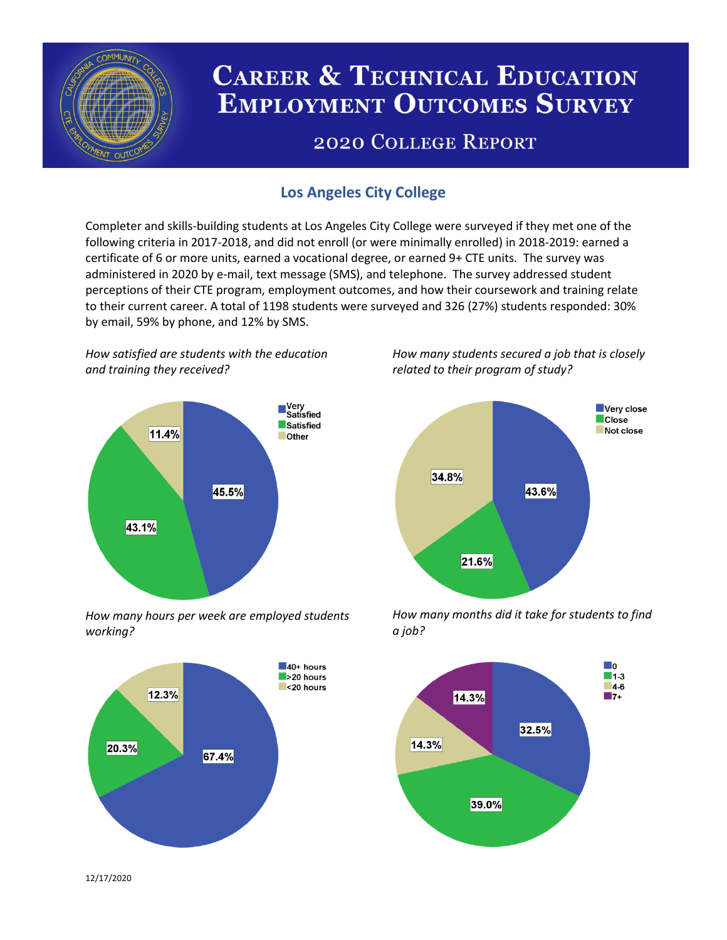

# **CAREER & TECHNICAL EDUCATION EMPLOYMENT OUTCOMES SURVEY**

## **2020 COLLEGE REPORT**

### **Los Angeles City College**

Completer and skills-building students at Los Angeles City College were surveyed if they met one of the following criteria in 2017-2018, and did not enroll (or were minimally enrolled) in 2018-2019: earned a certificate of 6 or more units, earned a vocational degree, or earned 9+ CTE units. The survey was administered in 2020 by e-mail, text message (SMS), and telephone. The survey addressed student perceptions of their CTE program, employment outcomes, and how their coursework and training relate to their current career. A total of 1198 students were surveyed and 326 (27%) students responded: 30% by email, 59% by phone, and 12% by SMS.

*How satisfied are students with the education and training they received?*



*How many hours per week are employed students working?*



*How many students secured a job that is closely related to their program of study?*



*How many months did it take for students to find a job?*



12/17/2020